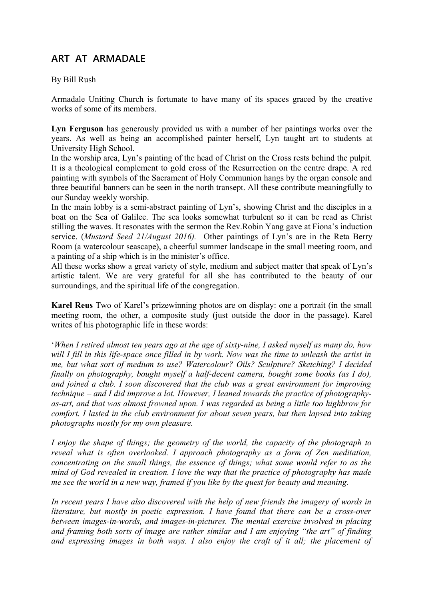# **ART AT ARMADALE**

By Bill Rush

Armadale Uniting Church is fortunate to have many of its spaces graced by the creative works of some of its members.

**Lyn Ferguson** has generously provided us with a number of her paintings works over the years. As well as being an accomplished painter herself, Lyn taught art to students at University High School.

In the worship area, Lyn's painting of the head of Christ on the Cross rests behind the pulpit. It is a theological complement to gold cross of the Resurrection on the centre drape. A red painting with symbols of the Sacrament of Holy Communion hangs by the organ console and three beautiful banners can be seen in the north transept. All these contribute meaningfully to our Sunday weekly worship.

In the main lobby is a semi-abstract painting of Lyn's, showing Christ and the disciples in a boat on the Sea of Galilee. The sea looks somewhat turbulent so it can be read as Christ stilling the waves. It resonates with the sermon the Rev.Robin Yang gave at Fiona's induction service. (*Mustard Seed 21/August 2016).* Other paintings of Lyn's are in the Reta Berry Room (a watercolour seascape), a cheerful summer landscape in the small meeting room, and a painting of a ship which is in the minister's office.

All these works show a great variety of style, medium and subject matter that speak of Lyn's artistic talent. We are very grateful for all she has contributed to the beauty of our surroundings, and the spiritual life of the congregation.

**Karel Reus** Two of Karel's prizewinning photos are on display: one a portrait (in the small meeting room, the other, a composite study (just outside the door in the passage). Karel writes of his photographic life in these words:

'*When I retired almost ten years ago at the age of sixty-nine, I asked myself as many do, how will I fill in this life-space once filled in by work. Now was the time to unleash the artist in me, but what sort of medium to use? Watercolour? Oils? Sculpture? Sketching? I decided finally on photography, bought myself a half-decent camera, bought some books (as I do), and joined a club. I soon discovered that the club was a great environment for improving technique – and I did improve a lot. However, I leaned towards the practice of photographyas-art, and that was almost frowned upon. I was regarded as being a little too highbrow for comfort. I lasted in the club environment for about seven years, but then lapsed into taking photographs mostly for my own pleasure.* 

*I enjoy the shape of things; the geometry of the world, the capacity of the photograph to reveal what is often overlooked. I approach photography as a form of Zen meditation, concentrating on the small things, the essence of things; what some would refer to as the mind of God revealed in creation. I love the way that the practice of photography has made me see the world in a new way, framed if you like by the quest for beauty and meaning.*

*In recent years I have also discovered with the help of new friends the imagery of words in literature, but mostly in poetic expression. I have found that there can be a cross-over between images-in-words, and images-in-pictures. The mental exercise involved in placing and framing both sorts of image are rather similar and I am enjoying "the art" of finding and expressing images in both ways. I also enjoy the craft of it all; the placement of*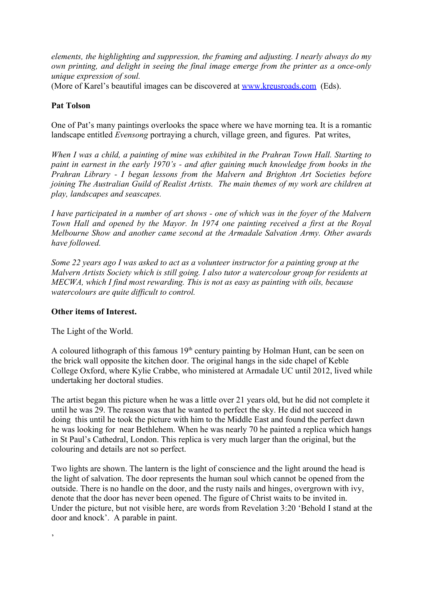*elements, the highlighting and suppression, the framing and adjusting. I nearly always do my own printing, and delight in seeing the final image emerge from the printer as a once-only unique expression of soul.*

(More of Karel's beautiful images can be discovered at [www.kreusroads.com](http://www.kreusroads.com/) (Eds).

## **Pat Tolson**

One of Pat's many paintings overlooks the space where we have morning tea. It is a romantic landscape entitled *Evensong* portraying a church, village green, and figures. Pat writes,

*When I was a child, a painting of mine was exhibited in the Prahran Town Hall. Starting to paint in earnest in the early 1970's - and after gaining much knowledge from books in the Prahran Library - I began lessons from the Malvern and Brighton Art Societies before joining The Australian Guild of Realist Artists. The main themes of my work are children at play, landscapes and seascapes.*

*I have participated in a number of art shows - one of which was in the foyer of the Malvern Town Hall and opened by the Mayor. In 1974 one painting received a first at the Royal Melbourne Show and another came second at the Armadale Salvation Army. Other awards have followed.*

*Some 22 years ago I was asked to act as a volunteer instructor for a painting group at the Malvern Artists Society which is still going. I also tutor a watercolour group for residents at MECWA, which I find most rewarding. This is not as easy as painting with oils, because watercolours are quite difficult to control.* 

#### **Other items of Interest.**

The Light of the World.

'

A coloured lithograph of this famous  $19<sup>th</sup>$  century painting by Holman Hunt, can be seen on the brick wall opposite the kitchen door. The original hangs in the side chapel of Keble College Oxford, where Kylie Crabbe, who ministered at Armadale UC until 2012, lived while undertaking her doctoral studies.

The artist began this picture when he was a little over 21 years old, but he did not complete it until he was 29. The reason was that he wanted to perfect the sky. He did not succeed in doing this until he took the picture with him to the Middle East and found the perfect dawn he was looking for near Bethlehem. When he was nearly 70 he painted a replica which hangs in St Paul's Cathedral, London. This replica is very much larger than the original, but the colouring and details are not so perfect.

Two lights are shown. The lantern is the light of conscience and the light around the head is the light of salvation. The door represents the human soul which cannot be opened from the outside. There is no handle on the door, and the rusty nails and hinges, overgrown with ivy, denote that the door has never been opened. The figure of Christ waits to be invited in. Under the picture, but not visible here, are words from Revelation 3:20 'Behold I stand at the door and knock'. A parable in paint.